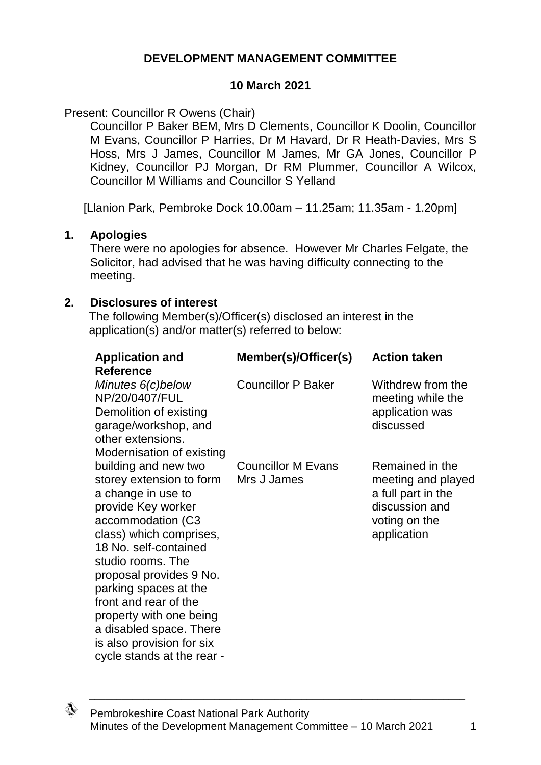### **DEVELOPMENT MANAGEMENT COMMITTEE**

### **10 March 2021**

Present: Councillor R Owens (Chair)

Councillor P Baker BEM, Mrs D Clements, Councillor K Doolin, Councillor M Evans, Councillor P Harries, Dr M Havard, Dr R Heath-Davies, Mrs S Hoss, Mrs J James, Councillor M James, Mr GA Jones, Councillor P Kidney, Councillor PJ Morgan, Dr RM Plummer, Councillor A Wilcox, Councillor M Williams and Councillor S Yelland

[Llanion Park, Pembroke Dock 10.00am – 11.25am; 11.35am - 1.20pm]

#### **1. Apologies**

There were no apologies for absence. However Mr Charles Felgate, the Solicitor, had advised that he was having difficulty connecting to the meeting.

#### **2. Disclosures of interest**

The following Member(s)/Officer(s) disclosed an interest in the application(s) and/or matter(s) referred to below:

| <b>Application and</b>                           | Member(s)/Officer(s)      | <b>Action taken</b>                    |
|--------------------------------------------------|---------------------------|----------------------------------------|
| <b>Reference</b>                                 |                           |                                        |
| Minutes 6(c)below<br>NP/20/0407/FUL              | <b>Councillor P Baker</b> | Withdrew from the<br>meeting while the |
| Demolition of existing<br>garage/workshop, and   |                           | application was<br>discussed           |
| other extensions.                                |                           |                                        |
| Modernisation of existing                        |                           |                                        |
| building and new two                             | <b>Councillor M Evans</b> | Remained in the                        |
| storey extension to form                         | Mrs J James               | meeting and played                     |
| a change in use to                               |                           | a full part in the                     |
| provide Key worker                               |                           | discussion and                         |
| accommodation (C3                                |                           | voting on the                          |
| class) which comprises,<br>18 No. self-contained |                           | application                            |
| studio rooms. The                                |                           |                                        |
| proposal provides 9 No.                          |                           |                                        |
| parking spaces at the                            |                           |                                        |
| front and rear of the                            |                           |                                        |
| property with one being                          |                           |                                        |
| a disabled space. There                          |                           |                                        |
| is also provision for six                        |                           |                                        |
| cycle stands at the rear -                       |                           |                                        |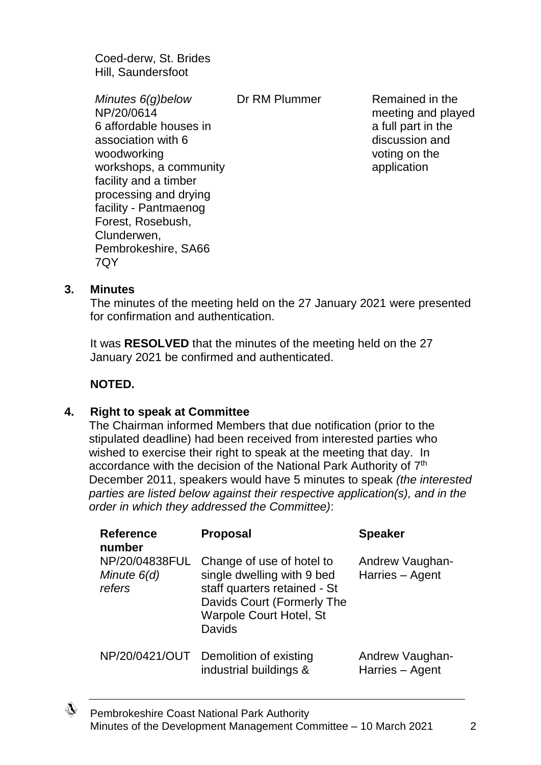Coed-derw, St. Brides Hill, Saundersfoot

*Minutes 6(g)below* NP/20/0614 6 affordable houses in association with 6 woodworking workshops, a community facility and a timber processing and drying facility - Pantmaenog Forest, Rosebush, Clunderwen, Pembrokeshire, SA66 7QY

Dr RM Plummer Remained in the meeting and played a full part in the discussion and voting on the application

#### **3. Minutes**

The minutes of the meeting held on the 27 January 2021 were presented for confirmation and authentication.

It was **RESOLVED** that the minutes of the meeting held on the 27 January 2021 be confirmed and authenticated.

### **NOTED.**

#### **4. Right to speak at Committee**

The Chairman informed Members that due notification (prior to the stipulated deadline) had been received from interested parties who wished to exercise their right to speak at the meeting that day. In accordance with the decision of the National Park Authority of 7<sup>th</sup> December 2011, speakers would have 5 minutes to speak *(the interested parties are listed below against their respective application(s), and in the order in which they addressed the Committee)*:

| <b>Reference</b><br>number              | <b>Proposal</b>                                                                                                                                                          | <b>Speaker</b>                     |
|-----------------------------------------|--------------------------------------------------------------------------------------------------------------------------------------------------------------------------|------------------------------------|
| NP/20/04838FUL<br>Minute 6(d)<br>refers | Change of use of hotel to<br>single dwelling with 9 bed<br>staff quarters retained - St<br>Davids Court (Formerly The<br><b>Warpole Court Hotel, St</b><br><b>Davids</b> | Andrew Vaughan-<br>Harries - Agent |
| NP/20/0421/OUT                          | Demolition of existing<br>industrial buildings &                                                                                                                         | Andrew Vaughan-<br>Harries - Agent |

∜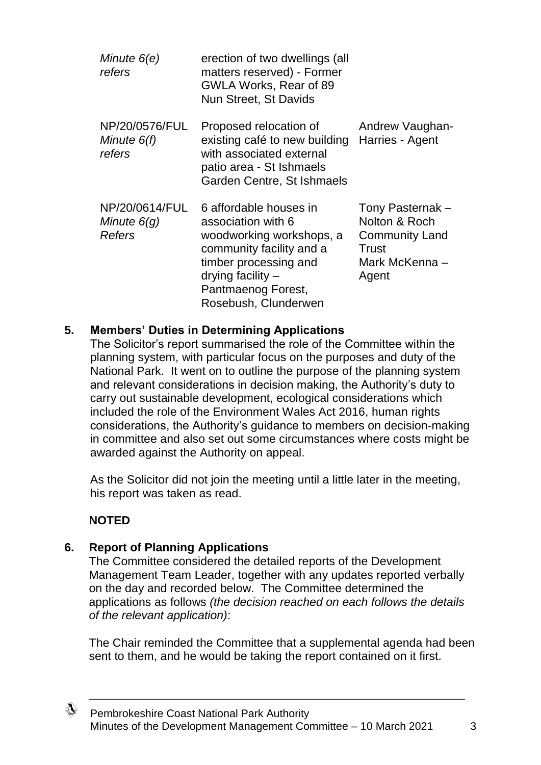| Minute 6(e)<br>refers                            | erection of two dwellings (all<br>matters reserved) - Former<br>GWLA Works, Rear of 89<br>Nun Street, St Davids                                                                                    |                                                                                                |
|--------------------------------------------------|----------------------------------------------------------------------------------------------------------------------------------------------------------------------------------------------------|------------------------------------------------------------------------------------------------|
| NP/20/0576/FUL<br>Minute 6(f)<br>refers          | Proposed relocation of<br>existing café to new building<br>with associated external<br>patio area - St Ishmaels<br>Garden Centre, St Ishmaels                                                      | Andrew Vaughan-<br>Harries - Agent                                                             |
| NP/20/0614/FUL<br>Minute $6(q)$<br><b>Refers</b> | 6 affordable houses in<br>association with 6<br>woodworking workshops, a<br>community facility and a<br>timber processing and<br>drying facility $-$<br>Pantmaenog Forest,<br>Rosebush, Clunderwen | Tony Pasternak -<br>Nolton & Roch<br><b>Community Land</b><br>Trust<br>Mark McKenna -<br>Agent |

### **5. Members' Duties in Determining Applications**

The Solicitor's report summarised the role of the Committee within the planning system, with particular focus on the purposes and duty of the National Park. It went on to outline the purpose of the planning system and relevant considerations in decision making, the Authority's duty to carry out sustainable development, ecological considerations which included the role of the Environment Wales Act 2016, human rights considerations, the Authority's guidance to members on decision-making in committee and also set out some circumstances where costs might be awarded against the Authority on appeal.

As the Solicitor did not join the meeting until a little later in the meeting, his report was taken as read.

# **NOTED**

### **6. Report of Planning Applications**

The Committee considered the detailed reports of the Development Management Team Leader, together with any updates reported verbally on the day and recorded below. The Committee determined the applications as follows *(the decision reached on each follows the details of the relevant application)*:

The Chair reminded the Committee that a supplemental agenda had been sent to them, and he would be taking the report contained on it first.

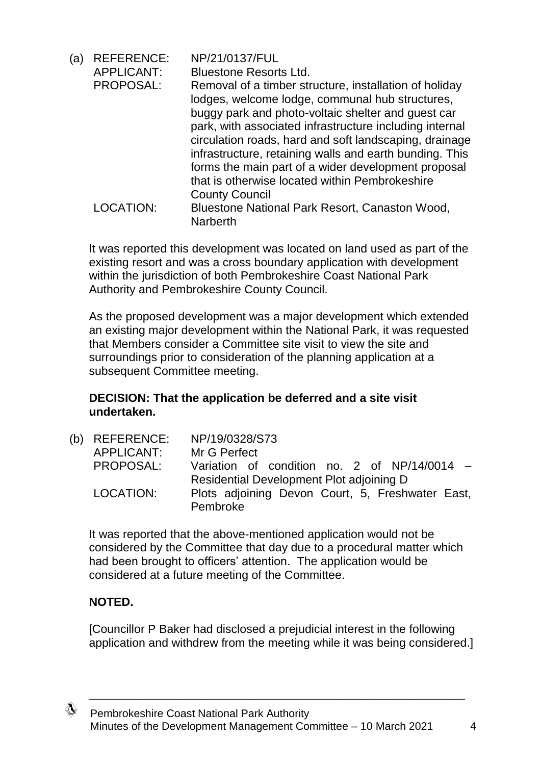| (a) | <b>REFERENCE:</b> | NP/21/0137/FUL                                                                                                                                                                                                                                                                                                                                                                                                                                           |
|-----|-------------------|----------------------------------------------------------------------------------------------------------------------------------------------------------------------------------------------------------------------------------------------------------------------------------------------------------------------------------------------------------------------------------------------------------------------------------------------------------|
|     | <b>APPLICANT:</b> | <b>Bluestone Resorts Ltd.</b>                                                                                                                                                                                                                                                                                                                                                                                                                            |
|     | PROPOSAL:         | Removal of a timber structure, installation of holiday<br>lodges, welcome lodge, communal hub structures,<br>buggy park and photo-voltaic shelter and guest car<br>park, with associated infrastructure including internal<br>circulation roads, hard and soft landscaping, drainage<br>infrastructure, retaining walls and earth bunding. This<br>forms the main part of a wider development proposal<br>that is otherwise located within Pembrokeshire |
|     |                   | <b>County Council</b>                                                                                                                                                                                                                                                                                                                                                                                                                                    |
|     | LOCATION:         | Bluestone National Park Resort, Canaston Wood,<br><b>Narberth</b>                                                                                                                                                                                                                                                                                                                                                                                        |

It was reported this development was located on land used as part of the existing resort and was a cross boundary application with development within the jurisdiction of both Pembrokeshire Coast National Park Authority and Pembrokeshire County Council.

As the proposed development was a major development which extended an existing major development within the National Park, it was requested that Members consider a Committee site visit to view the site and surroundings prior to consideration of the planning application at a subsequent Committee meeting.

### **DECISION: That the application be deferred and a site visit undertaken.**

| (b) REFERENCE:<br>APPLICANT: | NP/19/0328/S73<br>Mr G Perfect                                                           |
|------------------------------|------------------------------------------------------------------------------------------|
| PROPOSAL:                    | Variation of condition no. 2 of NP/14/0014 -<br>Residential Development Plot adjoining D |
| LOCATION:                    | Plots adjoining Devon Court, 5, Freshwater East,<br>Pembroke                             |

It was reported that the above-mentioned application would not be considered by the Committee that day due to a procedural matter which had been brought to officers' attention. The application would be considered at a future meeting of the Committee.

# **NOTED.**

[Councillor P Baker had disclosed a prejudicial interest in the following application and withdrew from the meeting while it was being considered.]

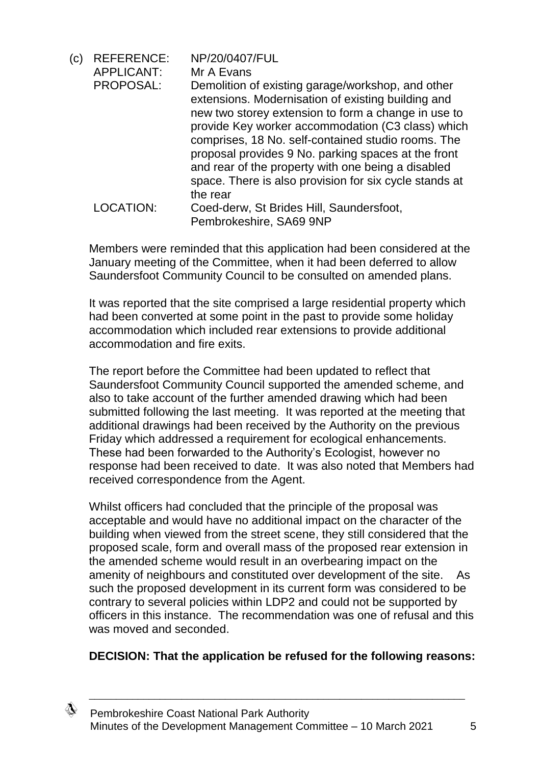| (c) | <b>REFERENCE:</b> | NP/20/0407/FUL                                                                                                                                                                                                                                                                                                                                                                                                                                               |
|-----|-------------------|--------------------------------------------------------------------------------------------------------------------------------------------------------------------------------------------------------------------------------------------------------------------------------------------------------------------------------------------------------------------------------------------------------------------------------------------------------------|
|     | <b>APPLICANT:</b> | Mr A Evans                                                                                                                                                                                                                                                                                                                                                                                                                                                   |
|     | PROPOSAL:         | Demolition of existing garage/workshop, and other<br>extensions. Modernisation of existing building and<br>new two storey extension to form a change in use to<br>provide Key worker accommodation (C3 class) which<br>comprises, 18 No. self-contained studio rooms. The<br>proposal provides 9 No. parking spaces at the front<br>and rear of the property with one being a disabled<br>space. There is also provision for six cycle stands at<br>the rear |
|     | LOCATION:         | Coed-derw, St Brides Hill, Saundersfoot,                                                                                                                                                                                                                                                                                                                                                                                                                     |
|     |                   | Pembrokeshire, SA69 9NP                                                                                                                                                                                                                                                                                                                                                                                                                                      |

Members were reminded that this application had been considered at the January meeting of the Committee, when it had been deferred to allow Saundersfoot Community Council to be consulted on amended plans.

It was reported that the site comprised a large residential property which had been converted at some point in the past to provide some holiday accommodation which included rear extensions to provide additional accommodation and fire exits.

The report before the Committee had been updated to reflect that Saundersfoot Community Council supported the amended scheme, and also to take account of the further amended drawing which had been submitted following the last meeting. It was reported at the meeting that additional drawings had been received by the Authority on the previous Friday which addressed a requirement for ecological enhancements. These had been forwarded to the Authority's Ecologist, however no response had been received to date. It was also noted that Members had received correspondence from the Agent.

Whilst officers had concluded that the principle of the proposal was acceptable and would have no additional impact on the character of the building when viewed from the street scene, they still considered that the proposed scale, form and overall mass of the proposed rear extension in the amended scheme would result in an overbearing impact on the amenity of neighbours and constituted over development of the site. As such the proposed development in its current form was considered to be contrary to several policies within LDP2 and could not be supported by officers in this instance. The recommendation was one of refusal and this was moved and seconded.

### **DECISION: That the application be refused for the following reasons:**

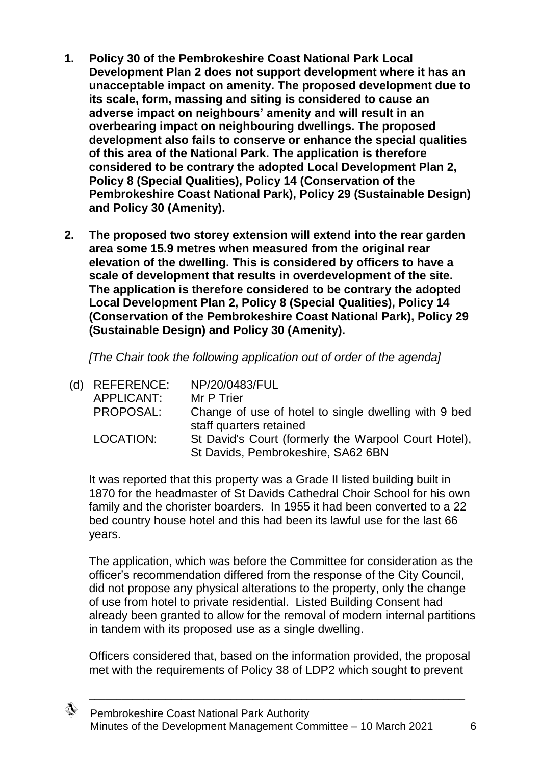- **1. Policy 30 of the Pembrokeshire Coast National Park Local Development Plan 2 does not support development where it has an unacceptable impact on amenity. The proposed development due to its scale, form, massing and siting is considered to cause an adverse impact on neighbours' amenity and will result in an overbearing impact on neighbouring dwellings. The proposed development also fails to conserve or enhance the special qualities of this area of the National Park. The application is therefore considered to be contrary the adopted Local Development Plan 2, Policy 8 (Special Qualities), Policy 14 (Conservation of the Pembrokeshire Coast National Park), Policy 29 (Sustainable Design) and Policy 30 (Amenity).**
- **2. The proposed two storey extension will extend into the rear garden area some 15.9 metres when measured from the original rear elevation of the dwelling. This is considered by officers to have a scale of development that results in overdevelopment of the site. The application is therefore considered to be contrary the adopted Local Development Plan 2, Policy 8 (Special Qualities), Policy 14 (Conservation of the Pembrokeshire Coast National Park), Policy 29 (Sustainable Design) and Policy 30 (Amenity).**

*[The Chair took the following application out of order of the agenda]*

| (d) REFERENCE: | NP/20/0483/FUL                                                                             |
|----------------|--------------------------------------------------------------------------------------------|
| APPLICANT:     | Mr P Trier                                                                                 |
| PROPOSAL:      | Change of use of hotel to single dwelling with 9 bed<br>staff quarters retained            |
| LOCATION:      | St David's Court (formerly the Warpool Court Hotel),<br>St Davids, Pembrokeshire, SA62 6BN |

It was reported that this property was a Grade II listed building built in 1870 for the headmaster of St Davids Cathedral Choir School for his own family and the chorister boarders. In 1955 it had been converted to a 22 bed country house hotel and this had been its lawful use for the last 66 years.

The application, which was before the Committee for consideration as the officer's recommendation differed from the response of the City Council, did not propose any physical alterations to the property, only the change of use from hotel to private residential. Listed Building Consent had already been granted to allow for the removal of modern internal partitions in tandem with its proposed use as a single dwelling.

Officers considered that, based on the information provided, the proposal met with the requirements of Policy 38 of LDP2 which sought to prevent

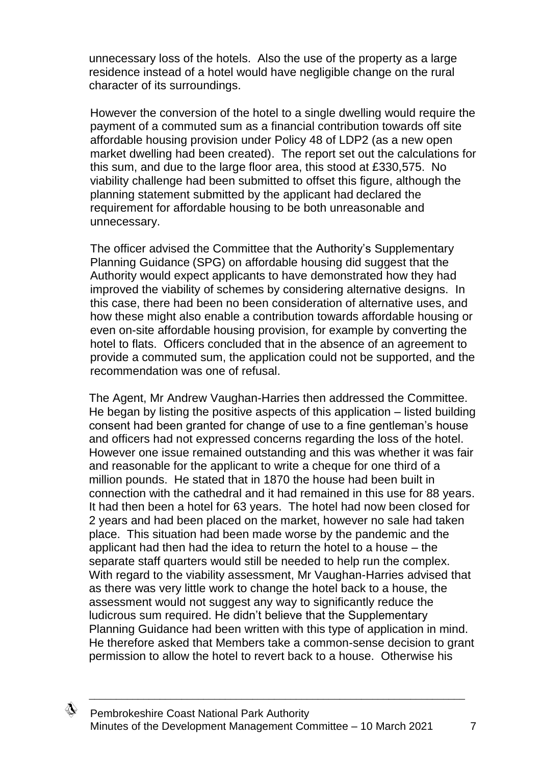unnecessary loss of the hotels. Also the use of the property as a large residence instead of a hotel would have negligible change on the rural character of its surroundings.

However the conversion of the hotel to a single dwelling would require the payment of a commuted sum as a financial contribution towards off site affordable housing provision under Policy 48 of LDP2 (as a new open market dwelling had been created). The report set out the calculations for this sum, and due to the large floor area, this stood at £330,575. No viability challenge had been submitted to offset this figure, although the planning statement submitted by the applicant had declared the requirement for affordable housing to be both unreasonable and unnecessary.

The officer advised the Committee that the Authority's Supplementary Planning Guidance (SPG) on affordable housing did suggest that the Authority would expect applicants to have demonstrated how they had improved the viability of schemes by considering alternative designs.In this case, there had been no been consideration of alternative uses, and how these might also enable a contribution towards affordable housing or even on-site affordable housing provision, for example by converting the hotel to flats. Officers concluded that in the absence of an agreement to provide a commuted sum, the application could not be supported, and the recommendation was one of refusal.

The Agent, Mr Andrew Vaughan-Harries then addressed the Committee. He began by listing the positive aspects of this application – listed building consent had been granted for change of use to a fine gentleman's house and officers had not expressed concerns regarding the loss of the hotel. However one issue remained outstanding and this was whether it was fair and reasonable for the applicant to write a cheque for one third of a million pounds. He stated that in 1870 the house had been built in connection with the cathedral and it had remained in this use for 88 years. It had then been a hotel for 63 years. The hotel had now been closed for 2 years and had been placed on the market, however no sale had taken place. This situation had been made worse by the pandemic and the applicant had then had the idea to return the hotel to a house – the separate staff quarters would still be needed to help run the complex. With regard to the viability assessment, Mr Vaughan-Harries advised that as there was very little work to change the hotel back to a house, the assessment would not suggest any way to significantly reduce the ludicrous sum required. He didn't believe that the Supplementary Planning Guidance had been written with this type of application in mind. He therefore asked that Members take a common-sense decision to grant permission to allow the hotel to revert back to a house. Otherwise his

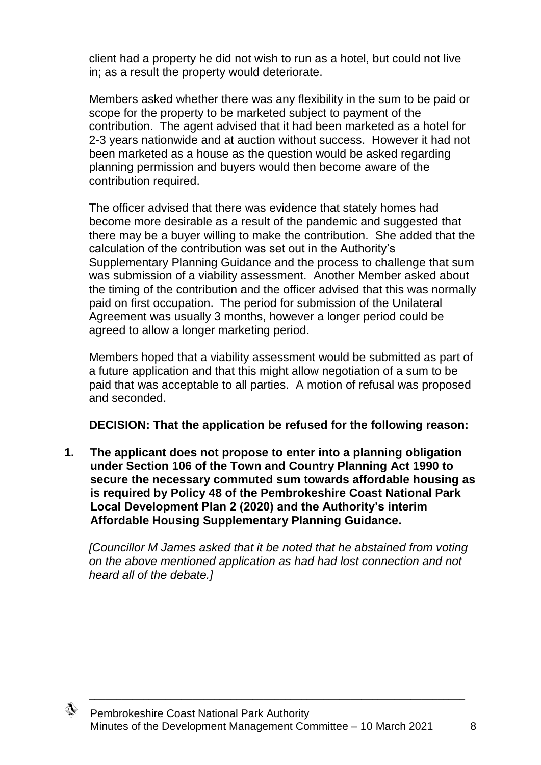client had a property he did not wish to run as a hotel, but could not live in; as a result the property would deteriorate.

Members asked whether there was any flexibility in the sum to be paid or scope for the property to be marketed subject to payment of the contribution. The agent advised that it had been marketed as a hotel for 2-3 years nationwide and at auction without success. However it had not been marketed as a house as the question would be asked regarding planning permission and buyers would then become aware of the contribution required.

The officer advised that there was evidence that stately homes had become more desirable as a result of the pandemic and suggested that there may be a buyer willing to make the contribution. She added that the calculation of the contribution was set out in the Authority's Supplementary Planning Guidance and the process to challenge that sum was submission of a viability assessment. Another Member asked about the timing of the contribution and the officer advised that this was normally paid on first occupation. The period for submission of the Unilateral Agreement was usually 3 months, however a longer period could be agreed to allow a longer marketing period.

Members hoped that a viability assessment would be submitted as part of a future application and that this might allow negotiation of a sum to be paid that was acceptable to all parties. A motion of refusal was proposed and seconded.

# **DECISION: That the application be refused for the following reason:**

**1. The applicant does not propose to enter into a planning obligation under Section 106 of the Town and Country Planning Act 1990 to secure the necessary commuted sum towards affordable housing as is required by Policy 48 of the Pembrokeshire Coast National Park Local Development Plan 2 (2020) and the Authority's interim Affordable Housing Supplementary Planning Guidance.**

*[Councillor M James asked that it be noted that he abstained from voting on the above mentioned application as had had lost connection and not heard all of the debate.]*

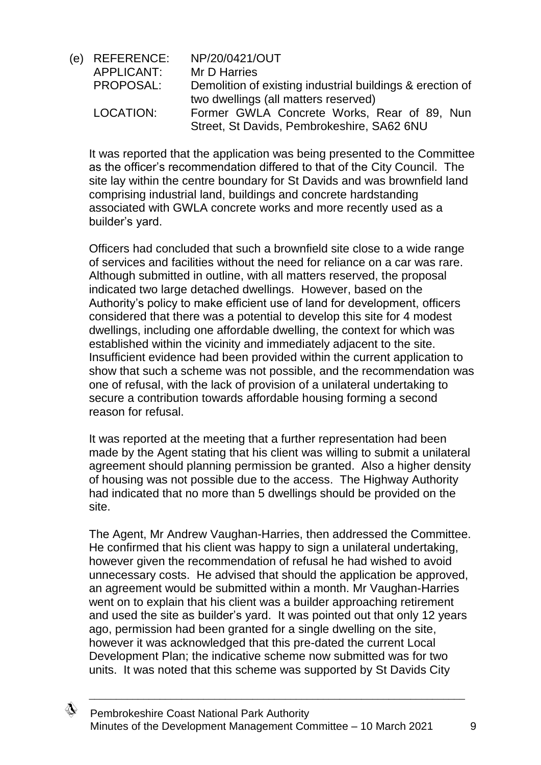(e) REFERENCE: NP/20/0421/OUT APPLICANT: Mr D Harries PROPOSAL: Demolition of existing industrial buildings & erection of two dwellings (all matters reserved) LOCATION: Former GWLA Concrete Works, Rear of 89, Nun Street, St Davids, Pembrokeshire, SA62 6NU

It was reported that the application was being presented to the Committee as the officer's recommendation differed to that of the City Council. The site lay within the centre boundary for St Davids and was brownfield land comprising industrial land, buildings and concrete hardstanding associated with GWLA concrete works and more recently used as a builder's yard.

Officers had concluded that such a brownfield site close to a wide range of services and facilities without the need for reliance on a car was rare. Although submitted in outline, with all matters reserved, the proposal indicated two large detached dwellings. However, based on the Authority's policy to make efficient use of land for development, officers considered that there was a potential to develop this site for 4 modest dwellings, including one affordable dwelling, the context for which was established within the vicinity and immediately adjacent to the site. Insufficient evidence had been provided within the current application to show that such a scheme was not possible, and the recommendation was one of refusal, with the lack of provision of a unilateral undertaking to secure a contribution towards affordable housing forming a second reason for refusal.

It was reported at the meeting that a further representation had been made by the Agent stating that his client was willing to submit a unilateral agreement should planning permission be granted. Also a higher density of housing was not possible due to the access. The Highway Authority had indicated that no more than 5 dwellings should be provided on the site.

The Agent, Mr Andrew Vaughan-Harries, then addressed the Committee. He confirmed that his client was happy to sign a unilateral undertaking, however given the recommendation of refusal he had wished to avoid unnecessary costs. He advised that should the application be approved, an agreement would be submitted within a month. Mr Vaughan-Harries went on to explain that his client was a builder approaching retirement and used the site as builder's yard. It was pointed out that only 12 years ago, permission had been granted for a single dwelling on the site, however it was acknowledged that this pre-dated the current Local Development Plan; the indicative scheme now submitted was for two units. It was noted that this scheme was supported by St Davids City

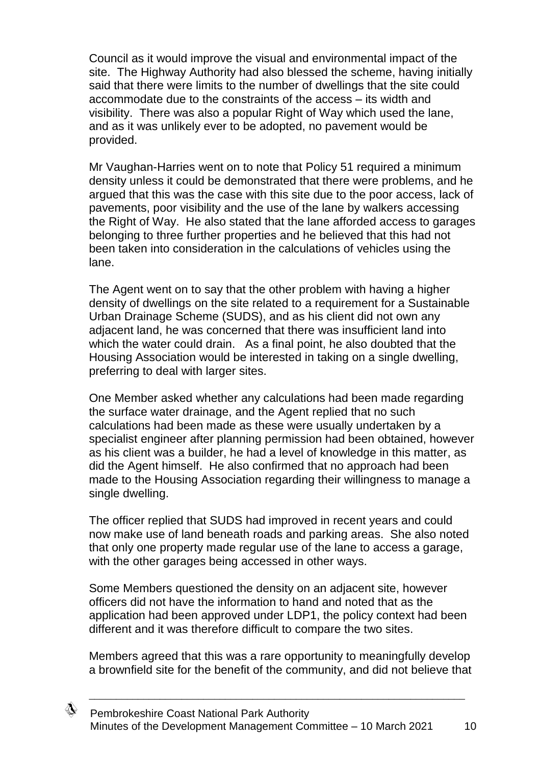Council as it would improve the visual and environmental impact of the site. The Highway Authority had also blessed the scheme, having initially said that there were limits to the number of dwellings that the site could accommodate due to the constraints of the access – its width and visibility. There was also a popular Right of Way which used the lane, and as it was unlikely ever to be adopted, no pavement would be provided.

Mr Vaughan-Harries went on to note that Policy 51 required a minimum density unless it could be demonstrated that there were problems, and he argued that this was the case with this site due to the poor access, lack of pavements, poor visibility and the use of the lane by walkers accessing the Right of Way. He also stated that the lane afforded access to garages belonging to three further properties and he believed that this had not been taken into consideration in the calculations of vehicles using the lane.

The Agent went on to say that the other problem with having a higher density of dwellings on the site related to a requirement for a Sustainable Urban Drainage Scheme (SUDS), and as his client did not own any adjacent land, he was concerned that there was insufficient land into which the water could drain. As a final point, he also doubted that the Housing Association would be interested in taking on a single dwelling, preferring to deal with larger sites.

One Member asked whether any calculations had been made regarding the surface water drainage, and the Agent replied that no such calculations had been made as these were usually undertaken by a specialist engineer after planning permission had been obtained, however as his client was a builder, he had a level of knowledge in this matter, as did the Agent himself. He also confirmed that no approach had been made to the Housing Association regarding their willingness to manage a single dwelling.

The officer replied that SUDS had improved in recent years and could now make use of land beneath roads and parking areas. She also noted that only one property made regular use of the lane to access a garage, with the other garages being accessed in other ways.

Some Members questioned the density on an adjacent site, however officers did not have the information to hand and noted that as the application had been approved under LDP1, the policy context had been different and it was therefore difficult to compare the two sites.

Members agreed that this was a rare opportunity to meaningfully develop a brownfield site for the benefit of the community, and did not believe that

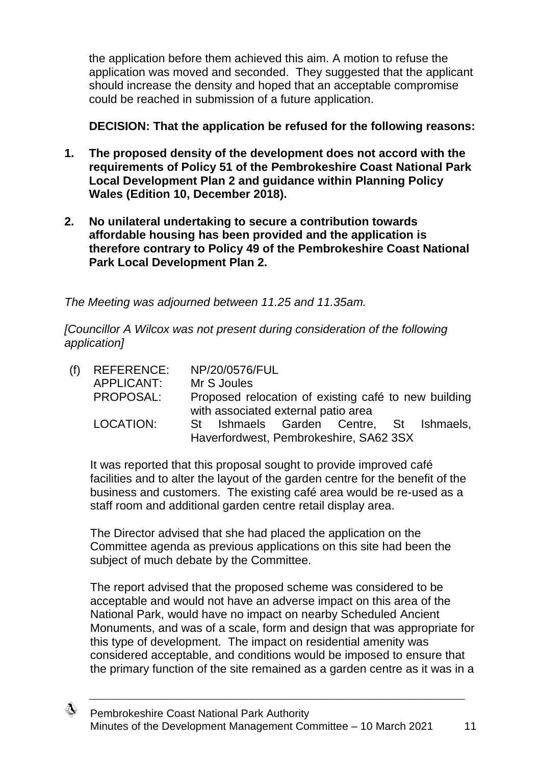the application before them achieved this aim. A motion to refuse the application was moved and seconded. They suggested that the applicant should increase the density and hoped that an acceptable compromise could be reached in submission of a future application.

**DECISION: That the application be refused for the following reasons:**

- **1. The proposed density of the development does not accord with the requirements of Policy 51 of the Pembrokeshire Coast National Park Local Development Plan 2 and guidance within Planning Policy Wales (Edition 10, December 2018).**
- **2. No unilateral undertaking to secure a contribution towards affordable housing has been provided and the application is therefore contrary to Policy 49 of the Pembrokeshire Coast National Park Local Development Plan 2.**

*The Meeting was adjourned between 11.25 and 11.35am.*

*[Councillor A Wilcox was not present during consideration of the following application]*

| $(f)$ REFERENCE: | NP/20/0576/FUL                                                                              |
|------------------|---------------------------------------------------------------------------------------------|
| APPLICANT:       | Mr S Joules                                                                                 |
| PROPOSAL:        | Proposed relocation of existing café to new building<br>with associated external patio area |
| LOCATION:        | St Ishmaels Garden Centre, St Ishmaels,<br>Haverfordwest, Pembrokeshire, SA62 3SX           |

It was reported that this proposal sought to provide improved café facilities and to alter the layout of the garden centre for the benefit of the business and customers. The existing café area would be re-used as a staff room and additional garden centre retail display area.

The Director advised that she had placed the application on the Committee agenda as previous applications on this site had been the subject of much debate by the Committee.

The report advised that the proposed scheme was considered to be acceptable and would not have an adverse impact on this area of the National Park, would have no impact on nearby Scheduled Ancient Monuments, and was of a scale, form and design that was appropriate for this type of development. The impact on residential amenity was considered acceptable, and conditions would be imposed to ensure that the primary function of the site remained as a garden centre as it was in a

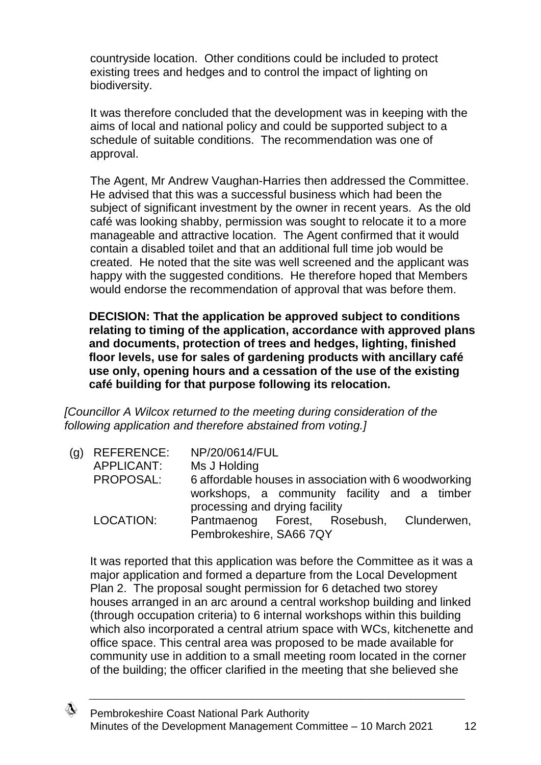countryside location. Other conditions could be included to protect existing trees and hedges and to control the impact of lighting on biodiversity.

It was therefore concluded that the development was in keeping with the aims of local and national policy and could be supported subject to a schedule of suitable conditions. The recommendation was one of approval.

The Agent, Mr Andrew Vaughan-Harries then addressed the Committee. He advised that this was a successful business which had been the subject of significant investment by the owner in recent years. As the old café was looking shabby, permission was sought to relocate it to a more manageable and attractive location. The Agent confirmed that it would contain a disabled toilet and that an additional full time job would be created. He noted that the site was well screened and the applicant was happy with the suggested conditions. He therefore hoped that Members would endorse the recommendation of approval that was before them.

**DECISION: That the application be approved subject to conditions relating to timing of the application, accordance with approved plans and documents, protection of trees and hedges, lighting, finished floor levels, use for sales of gardening products with ancillary café use only, opening hours and a cessation of the use of the existing café building for that purpose following its relocation.**

*[Councillor A Wilcox returned to the meeting during consideration of the following application and therefore abstained from voting.]*

(g) REFERENCE: NP/20/0614/FUL APPLICANT: Ms J Holding PROPOSAL: 6 affordable houses in association with 6 woodworking workshops, a community facility and a timber processing and drying facility LOCATION: Pantmaenog Forest, Rosebush, Clunderwen, Pembrokeshire, SA66 7QY

It was reported that this application was before the Committee as it was a major application and formed a departure from the Local Development Plan 2. The proposal sought permission for 6 detached two storey houses arranged in an arc around a central workshop building and linked (through occupation criteria) to 6 internal workshops within this building which also incorporated a central atrium space with WCs, kitchenette and office space. This central area was proposed to be made available for community use in addition to a small meeting room located in the corner of the building; the officer clarified in the meeting that she believed she

∜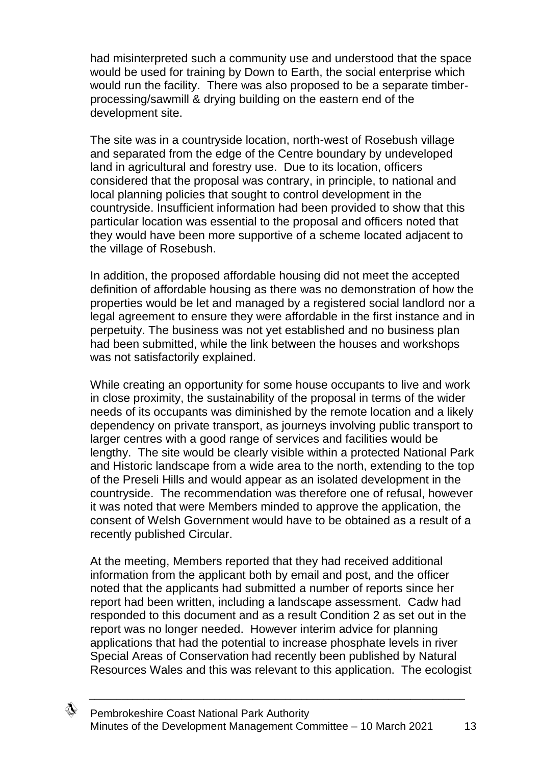had misinterpreted such a community use and understood that the space would be used for training by Down to Earth, the social enterprise which would run the facility. There was also proposed to be a separate timberprocessing/sawmill & drying building on the eastern end of the development site.

The site was in a countryside location, north-west of Rosebush village and separated from the edge of the Centre boundary by undeveloped land in agricultural and forestry use. Due to its location, officers considered that the proposal was contrary, in principle, to national and local planning policies that sought to control development in the countryside. Insufficient information had been provided to show that this particular location was essential to the proposal and officers noted that they would have been more supportive of a scheme located adjacent to the village of Rosebush.

In addition, the proposed affordable housing did not meet the accepted definition of affordable housing as there was no demonstration of how the properties would be let and managed by a registered social landlord nor a legal agreement to ensure they were affordable in the first instance and in perpetuity. The business was not yet established and no business plan had been submitted, while the link between the houses and workshops was not satisfactorily explained.

While creating an opportunity for some house occupants to live and work in close proximity, the sustainability of the proposal in terms of the wider needs of its occupants was diminished by the remote location and a likely dependency on private transport, as journeys involving public transport to larger centres with a good range of services and facilities would be lengthy. The site would be clearly visible within a protected National Park and Historic landscape from a wide area to the north, extending to the top of the Preseli Hills and would appear as an isolated development in the countryside. The recommendation was therefore one of refusal, however it was noted that were Members minded to approve the application, the consent of Welsh Government would have to be obtained as a result of a recently published Circular.

At the meeting, Members reported that they had received additional information from the applicant both by email and post, and the officer noted that the applicants had submitted a number of reports since her report had been written, including a landscape assessment. Cadw had responded to this document and as a result Condition 2 as set out in the report was no longer needed. However interim advice for planning applications that had the potential to increase phosphate levels in river Special Areas of Conservation had recently been published by Natural Resources Wales and this was relevant to this application. The ecologist

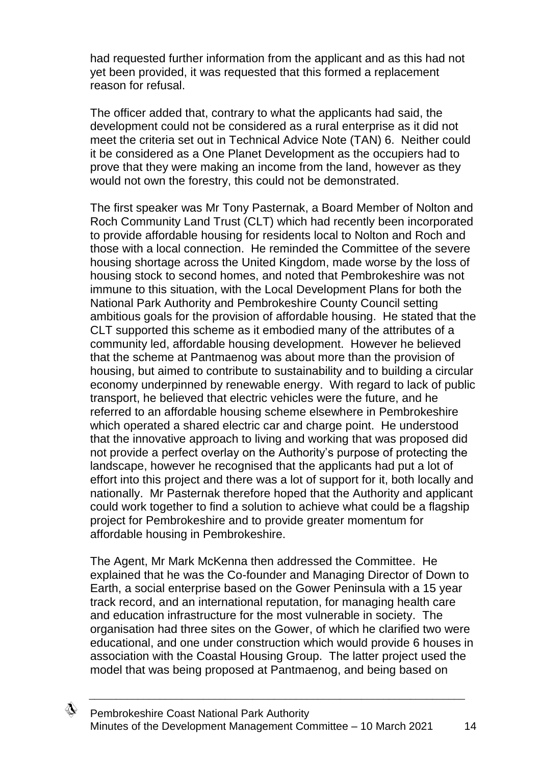had requested further information from the applicant and as this had not yet been provided, it was requested that this formed a replacement reason for refusal.

The officer added that, contrary to what the applicants had said, the development could not be considered as a rural enterprise as it did not meet the criteria set out in Technical Advice Note (TAN) 6. Neither could it be considered as a One Planet Development as the occupiers had to prove that they were making an income from the land, however as they would not own the forestry, this could not be demonstrated.

The first speaker was Mr Tony Pasternak, a Board Member of Nolton and Roch Community Land Trust (CLT) which had recently been incorporated to provide affordable housing for residents local to Nolton and Roch and those with a local connection. He reminded the Committee of the severe housing shortage across the United Kingdom, made worse by the loss of housing stock to second homes, and noted that Pembrokeshire was not immune to this situation, with the Local Development Plans for both the National Park Authority and Pembrokeshire County Council setting ambitious goals for the provision of affordable housing. He stated that the CLT supported this scheme as it embodied many of the attributes of a community led, affordable housing development. However he believed that the scheme at Pantmaenog was about more than the provision of housing, but aimed to contribute to sustainability and to building a circular economy underpinned by renewable energy. With regard to lack of public transport, he believed that electric vehicles were the future, and he referred to an affordable housing scheme elsewhere in Pembrokeshire which operated a shared electric car and charge point. He understood that the innovative approach to living and working that was proposed did not provide a perfect overlay on the Authority's purpose of protecting the landscape, however he recognised that the applicants had put a lot of effort into this project and there was a lot of support for it, both locally and nationally. Mr Pasternak therefore hoped that the Authority and applicant could work together to find a solution to achieve what could be a flagship project for Pembrokeshire and to provide greater momentum for affordable housing in Pembrokeshire.

The Agent, Mr Mark McKenna then addressed the Committee. He explained that he was the Co-founder and Managing Director of Down to Earth, a social enterprise based on the Gower Peninsula with a 15 year track record, and an international reputation, for managing health care and education infrastructure for the most vulnerable in society. The organisation had three sites on the Gower, of which he clarified two were educational, and one under construction which would provide 6 houses in association with the Coastal Housing Group. The latter project used the model that was being proposed at Pantmaenog, and being based on

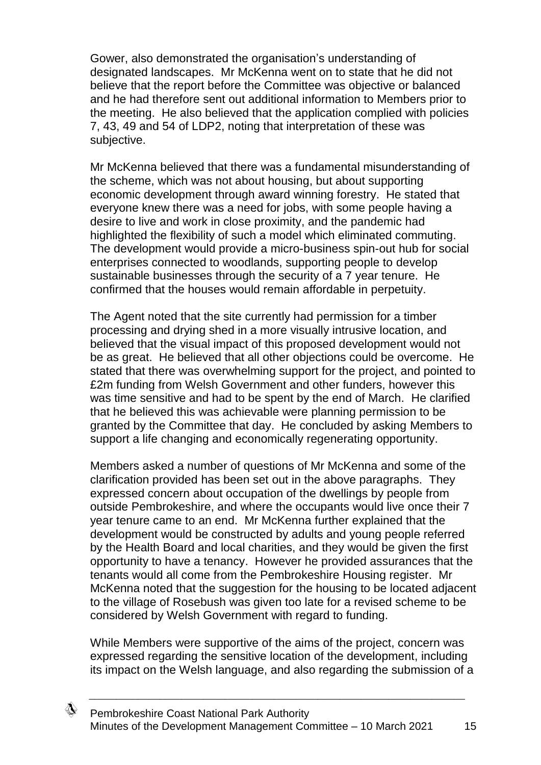Gower, also demonstrated the organisation's understanding of designated landscapes. Mr McKenna went on to state that he did not believe that the report before the Committee was objective or balanced and he had therefore sent out additional information to Members prior to the meeting. He also believed that the application complied with policies 7, 43, 49 and 54 of LDP2, noting that interpretation of these was subjective.

Mr McKenna believed that there was a fundamental misunderstanding of the scheme, which was not about housing, but about supporting economic development through award winning forestry. He stated that everyone knew there was a need for jobs, with some people having a desire to live and work in close proximity, and the pandemic had highlighted the flexibility of such a model which eliminated commuting. The development would provide a micro-business spin-out hub for social enterprises connected to woodlands, supporting people to develop sustainable businesses through the security of a 7 year tenure. He confirmed that the houses would remain affordable in perpetuity.

The Agent noted that the site currently had permission for a timber processing and drying shed in a more visually intrusive location, and believed that the visual impact of this proposed development would not be as great. He believed that all other objections could be overcome. He stated that there was overwhelming support for the project, and pointed to £2m funding from Welsh Government and other funders, however this was time sensitive and had to be spent by the end of March. He clarified that he believed this was achievable were planning permission to be granted by the Committee that day. He concluded by asking Members to support a life changing and economically regenerating opportunity.

Members asked a number of questions of Mr McKenna and some of the clarification provided has been set out in the above paragraphs. They expressed concern about occupation of the dwellings by people from outside Pembrokeshire, and where the occupants would live once their 7 year tenure came to an end. Mr McKenna further explained that the development would be constructed by adults and young people referred by the Health Board and local charities, and they would be given the first opportunity to have a tenancy. However he provided assurances that the tenants would all come from the Pembrokeshire Housing register. Mr McKenna noted that the suggestion for the housing to be located adjacent to the village of Rosebush was given too late for a revised scheme to be considered by Welsh Government with regard to funding.

While Members were supportive of the aims of the project, concern was expressed regarding the sensitive location of the development, including its impact on the Welsh language, and also regarding the submission of a

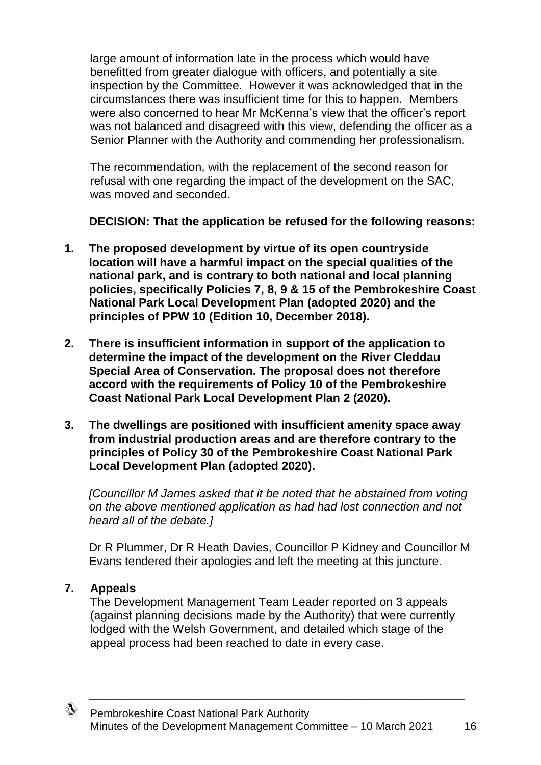large amount of information late in the process which would have benefitted from greater dialogue with officers, and potentially a site inspection by the Committee. However it was acknowledged that in the circumstances there was insufficient time for this to happen. Members were also concerned to hear Mr McKenna's view that the officer's report was not balanced and disagreed with this view, defending the officer as a Senior Planner with the Authority and commending her professionalism.

The recommendation, with the replacement of the second reason for refusal with one regarding the impact of the development on the SAC, was moved and seconded.

**DECISION: That the application be refused for the following reasons:**

- **1. The proposed development by virtue of its open countryside location will have a harmful impact on the special qualities of the national park, and is contrary to both national and local planning policies, specifically Policies 7, 8, 9 & 15 of the Pembrokeshire Coast National Park Local Development Plan (adopted 2020) and the principles of PPW 10 (Edition 10, December 2018).**
- **2. There is insufficient information in support of the application to determine the impact of the development on the River Cleddau Special Area of Conservation. The proposal does not therefore accord with the requirements of Policy 10 of the Pembrokeshire Coast National Park Local Development Plan 2 (2020).**
- **3. The dwellings are positioned with insufficient amenity space away from industrial production areas and are therefore contrary to the principles of Policy 30 of the Pembrokeshire Coast National Park Local Development Plan (adopted 2020).**

*[Councillor M James asked that it be noted that he abstained from voting on the above mentioned application as had had lost connection and not heard all of the debate.]*

Dr R Plummer, Dr R Heath Davies, Councillor P Kidney and Councillor M Evans tendered their apologies and left the meeting at this juncture.

# **7. Appeals**

The Development Management Team Leader reported on 3 appeals (against planning decisions made by the Authority) that were currently lodged with the Welsh Government, and detailed which stage of the appeal process had been reached to date in every case.